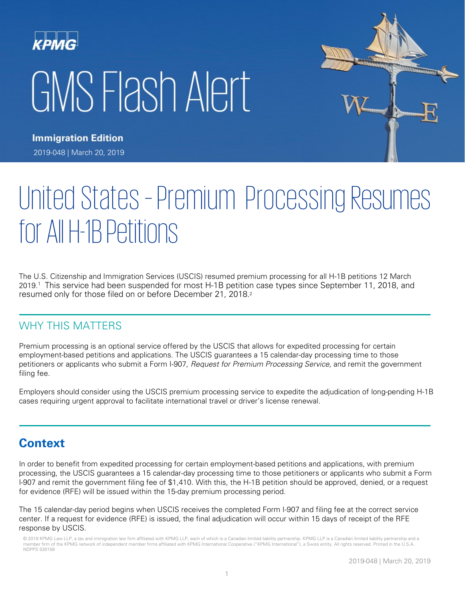# KPMG GMS Flash Alert



**Immigration Edition** 2019-048 | March 20, 2019

# United States - Premium Processing Resumes forAllH-1B Petitions

The U.S. Citizenship and Immigration Services (USCIS) resumed premium processing for all H-1B petitions 12 March 2019. <sup>1</sup> This service had been suspended for most H-1B petition case types since September 11, 2018, and resumed only for those filed on or before December 21, 2018.2

### WHY THIS MATTERS

Premium processing is an optional service offered by the USCIS that allows for expedited processing for certain employment-based petitions and applications. The USCIS guarantees a 15 calendar-day processing time to those petitioners or applicants who submit a Form I-907, Request for Premium Processing Service, and remit the government filing fee.

Employers should consider using the USCIS premium processing service to expedite the adjudication of long-pending H-1B cases requiring urgent approval to facilitate international travel or driver's license renewal.

# **Context**

In order to benefit from expedited processing for certain employment-based petitions and applications, with premium processing, the USCIS guarantees a 15 calendar-day processing time to those petitioners or applicants who submit a Form I-907 and remit the government filing fee of \$1,410. With this, the H-1B petition should be approved, denied, or a request for evidence (RFE) will be issued within the 15-day premium processing period.

The 15 calendar-day period begins when USCIS receives the completed Form I-907 and filing fee at the correct service center. If a request for evidence (RFE) is issued, the final adjudication will occur within 15 days of receipt of the RFE response by USCIS.

<sup>© 2019</sup> KPMG Law LLP, a tax and immigration law firm affiliated with KPMG LLP, each of which is a Canadian limited liability partnership. KPMG LLP is a Canadian limited liability partnership and a member firm of the KPMG network of independent member firms affiliated with KPMG International Cooperative ("KPMG International"), a Swiss entity. All rights reserved. Printed in the U.S.A. NDPPS 530159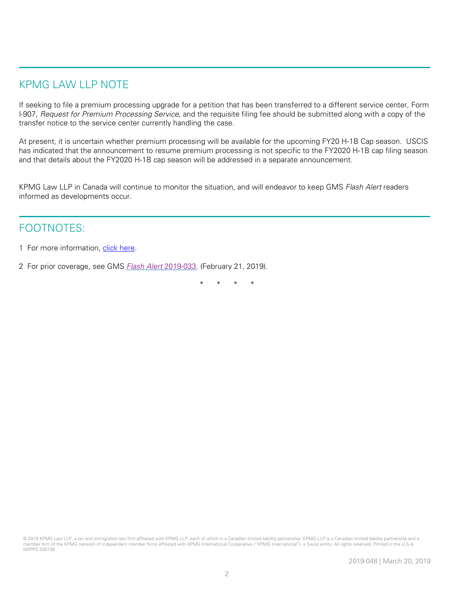# KPMG LAW LLP NOTE

If seeking to file a premium processing upgrade for a petition that has been transferred to a different service center, Form I-907, Request for Premium Processing Service, and the requisite filing fee should be submitted along with a copy of the transfer notice to the service center currently handling the case.

At present, it is uncertain whether premium processing will be available for the upcoming FY20 H-1B Cap season. USCIS has indicated that the announcement to resume premium processing is not specific to the FY2020 H-1B cap filing season and that details about the FY2020 H-1B cap season will be addressed in a separate announcement.

KPMG Law LLP in Canada will continue to monitor the situation, and will endeavor to keep GMS Flash Alert readers informed as developments occur.

## FOOTNOTES:

- 1 For more information, [click here.](https://www.uscis.gov/news/alerts/uscis-resumes-premium-processing-all-h-1b-petitions)
- 2 For prior coverage, see GMS **[Flash Alert](https://home.kpmg/xx/en/home/insights/2019/02/flash-alert-2019-033.html) 2019-033**, (February 21, 2019).

\* \* \* \*

<sup>© 2019</sup> KPMG Law LLP, a tax and immigration law firm affiliated with KPMG LLP, each of which is a Canadian limited liability partnership. KPMG LLP is a Canadian limited liability partnership and a member firm of the KPMG network of independent member firms affiliated with KPMG International Cooperative ("KPMG International"), a Swiss entity. All rights reserved. Printed in the U.S.A. NDPPS 530159